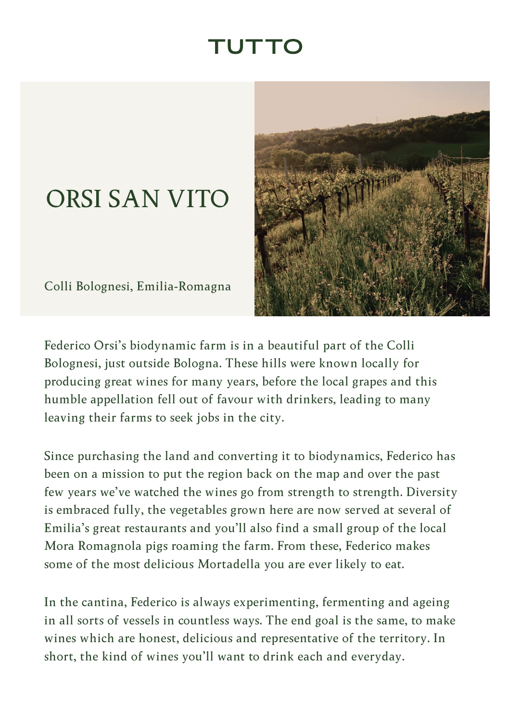## TUTTC

## <span id="page-0-0"></span>ORSI SAN VITO

Colli Bolognesi, Emilia-Romagna



Federico Orsi's biodynamic farm is in a beautiful part of the Colli Bolognesi, just outside Bologna. These hills were known locally for producing great wines for many years, before the local grapes and this humble appellation fell out of favour with drinkers, leading to many leaving their farms to seek jobs in the city.

Since purchasing the land and converting it to biodynamics, Federico has been on a mission to put the region back on the map and over the past few years we've watched the wines go from strength to strength. Diversity is embraced fully, the vegetables grown here are now served at several of Emilia's great restaurants and you'll also find a small group of the local Mora Romagnola pigs roaming the farm. From these, Federico makes some of the most delicious Mortadella you are ever likely to eat.

In the cantina, Federico is always experimenting, fermenting and ageing in all sorts of vessels in countless ways. The end goal is the same, to make wines which are honest, delicious and representative of the territory. In short, the kind of wines you'll want to drink each and everyday.